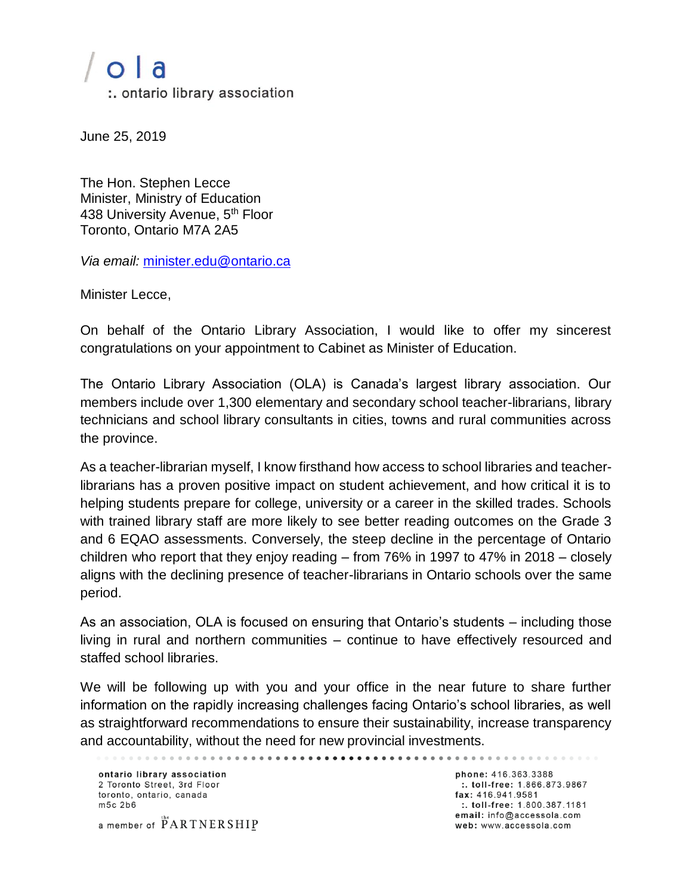## $O$   $a$

:. ontario library association

June 25, 2019

The Hon. Stephen Lecce Minister, Ministry of Education 438 University Avenue, 5<sup>th</sup> Floor Toronto, Ontario M7A 2A5

*Via email:* [minister.edu@ontario.ca](mailto:minister.edu@ontario.ca) 

Minister Lecce,

On behalf of the Ontario Library Association, I would like to offer my sincerest congratulations on your appointment to Cabinet as Minister of Education.

The Ontario Library Association (OLA) is Canada's largest library association. Our members include over 1,300 elementary and secondary school teacher-librarians, library technicians and school library consultants in cities, towns and rural communities across the province.

As a teacher-librarian myself, I know firsthand how access to school libraries and teacherlibrarians has a proven positive impact on student achievement, and how critical it is to helping students prepare for college, university or a career in the skilled trades. Schools with trained library staff are more likely to see better reading outcomes on the Grade 3 and 6 EQAO assessments. Conversely, the steep decline in the percentage of Ontario children who report that they enjoy reading – from 76% in 1997 to 47% in 2018 – closely aligns with the declining presence of teacher-librarians in Ontario schools over the same period.

As an association, OLA is focused on ensuring that Ontario's students – including those living in rural and northern communities – continue to have effectively resourced and staffed school libraries.

We will be following up with you and your office in the near future to share further information on the rapidly increasing challenges facing Ontario's school libraries, as well as straightforward recommendations to ensure their sustainability, increase transparency and accountability, without the need for new provincial investments.

. . . . . . . . . . . . . . . . . .

ontario library association 2 Toronto Street, 3rd Floor toronto, ontario, canada m<sub>5c</sub> 2b<sub>6</sub>

a member of PARTNERSHIP

phone: 416.363.3388 :. toll-free: 1.866.873.9867 fax: 416.941.9581 :. toll-free: 1.800.387.1181 email: info@accessola.com web: www.accessola.com

. . . . . . . . . . . . . . . .